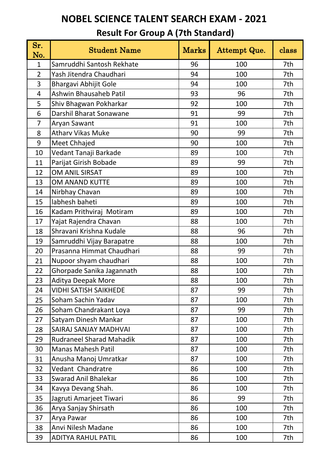| Sr.<br>No.     | <b>Student Name</b>             | <b>Marks</b> | Attempt Que. | class |
|----------------|---------------------------------|--------------|--------------|-------|
| $\mathbf{1}$   | Samruddhi Santosh Rekhate       | 96           | 100          | 7th   |
| $\overline{2}$ | Yash Jitendra Chaudhari         | 94           | 100          | 7th   |
| 3              | Bhargavi Abhijit Gole           | 94           | 100          | 7th   |
| $\overline{4}$ | <b>Ashwin Bhausaheb Patil</b>   | 93           | 96           | 7th   |
| 5              | Shiv Bhagwan Pokharkar          | 92           | 100          | 7th   |
| 6              | Darshil Bharat Sonawane         | 91           | 99           | 7th   |
| $\overline{7}$ | Aryan Sawant                    | 91           | 100          | 7th   |
| 8              | <b>Athary Vikas Muke</b>        | 90           | 99           | 7th   |
| 9              | Meet Chhajed                    | 90           | 100          | 7th   |
| 10             | Vedant Tanaji Barkade           | 89           | 100          | 7th   |
| 11             | Parijat Girish Bobade           | 89           | 99           | 7th   |
| 12             | OM ANIL SIRSAT                  | 89           | 100          | 7th   |
| 13             | <b>OM ANAND KUTTE</b>           | 89           | 100          | 7th   |
| 14             | Nirbhay Chavan                  | 89           | 100          | 7th   |
| 15             | labhesh baheti                  | 89           | 100          | 7th   |
| 16             | Kadam Prithviraj Motiram        | 89           | 100          | 7th   |
| 17             | Yajat Rajendra Chavan           | 88           | 100          | 7th   |
| 18             | Shravani Krishna Kudale         | 88           | 96           | 7th   |
| 19             | Samruddhi Vijay Barapatre       | 88           | 100          | 7th   |
| 20             | Prasanna Himmat Chaudhari       | 88           | 99           | 7th   |
| 21             | Nupoor shyam chaudhari          | 88           | 100          | 7th   |
| 22             | Ghorpade Sanika Jagannath       | 88           | 100          | 7th   |
| 23             | Aditya Deepak More              | 88           | 100          | 7th   |
| 24             | <b>VIDHI SATISH SAIKHEDE</b>    | 87           | 99           | 7th   |
| 25             | Soham Sachin Yadav              | 87           | 100          | 7th   |
| 26             | Soham Chandrakant Loya          | 87           | 99           | 7th   |
| 27             | Satyam Dinesh Mankar            | 87           | 100          | 7th   |
| 28             | <b>SAIRAJ SANJAY MADHVAI</b>    | 87           | 100          | 7th   |
| 29             | <b>Rudraneel Sharad Mahadik</b> | 87           | 100          | 7th   |
| 30             | <b>Manas Mahesh Patil</b>       | 87           | 100          | 7th   |
| 31             | Anusha Manoj Umratkar           | 87           | 100          | 7th   |
| 32             | Vedant Chandratre               | 86           | 100          | 7th   |
| 33             | <b>Swarad Anil Bhalekar</b>     | 86           | 100          | 7th   |
| 34             | Kavya Devang Shah.              | 86           | 100          | 7th   |
| 35             | Jagruti Amarjeet Tiwari         | 86           | 99           | 7th   |
| 36             | Arya Sanjay Shirsath            | 86           | 100          | 7th   |
| 37             | Arya Pawar                      | 86           | 100          | 7th   |
| 38             | Anvi Nilesh Madane              | 86           | 100          | 7th   |
| 39             | <b>ADITYA RAHUL PATIL</b>       | 86           | 100          | 7th   |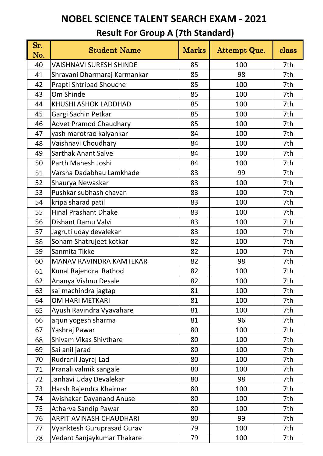| Sr.<br>No. | <b>Student Name</b>            | <b>Marks</b> | Attempt Que. | class |
|------------|--------------------------------|--------------|--------------|-------|
| 40         | <b>VAISHNAVI SURESH SHINDE</b> | 85           | 100          | 7th   |
| 41         | Shravani Dharmaraj Karmankar   | 85           | 98           | 7th   |
| 42         | Prapti Shtripad Shouche        | 85           | 100          | 7th   |
| 43         | Om Shinde                      | 85           | 100          | 7th   |
| 44         | KHUSHI ASHOK LADDHAD           | 85           | 100          | 7th   |
| 45         | Gargi Sachin Petkar            | 85           | 100          | 7th   |
| 46         | <b>Advet Pramod Chaudhary</b>  | 85           | 100          | 7th   |
| 47         | yash marotrao kalyankar        | 84           | 100          | 7th   |
| 48         | Vaishnavi Choudhary            | 84           | 100          | 7th   |
| 49         | <b>Sarthak Anant Salve</b>     | 84           | 100          | 7th   |
| 50         | Parth Mahesh Joshi             | 84           | 100          | 7th   |
| 51         | Varsha Dadabhau Lamkhade       | 83           | 99           | 7th   |
| 52         | Shaurya Newaskar               | 83           | 100          | 7th   |
| 53         | Pushkar subhash chavan         | 83           | 100          | 7th   |
| 54         | kripa sharad patil             | 83           | 100          | 7th   |
| 55         | <b>Hinal Prashant Dhake</b>    | 83           | 100          | 7th   |
| 56         | Dishant Damu Valvi             | 83           | 100          | 7th   |
| 57         | Jagruti uday devalekar         | 83           | 100          | 7th   |
| 58         | Soham Shatrujeet kotkar        | 82           | 100          | 7th   |
| 59         | Sanmita Tikke                  | 82           | 100          | 7th   |
| 60         | MANAV RAVINDRA KAMTEKAR        | 82           | 98           | 7th   |
| 61         | Kunal Rajendra Rathod          | 82           | 100          | 7th   |
| 62         | Ananya Vishnu Desale           | 82           | 100          | 7th   |
| 63         | sai machindra jagtap           | 81           | 100          | 7th   |
| 64         | OM HARI METKARI                | 81           | 100          | 7th   |
| 65         | Ayush Ravindra Vyavahare       | 81           | 100          | 7th   |
| 66         | arjun yogesh sharma            | 81           | 96           | 7th   |
| 67         | Yashraj Pawar                  | 80           | 100          | 7th   |
| 68         | Shivam Vikas Shivthare         | 80           | 100          | 7th   |
| 69         | Sai anil jarad                 | 80           | 100          | 7th   |
| 70         | Rudranil Jayraj Lad            | 80           | 100          | 7th   |
| 71         | Pranali valmik sangale         | 80           | 100          | 7th   |
| 72         | Janhavi Uday Devalekar         | 80           | 98           | 7th   |
| 73         | Harsh Rajendra Khairnar        | 80           | 100          | 7th   |
| 74         | Avishakar Dayanand Anuse       | 80           | 100          | 7th   |
| 75         | Atharva Sandip Pawar           | 80           | 100          | 7th   |
| 76         | ARPIT AVINASH CHAUDHARI        | 80           | 99           | 7th   |
| 77         | Vyanktesh Guruprasad Gurav     | 79           | 100          | 7th   |
| 78         | Vedant Sanjaykumar Thakare     | 79           | 100          | 7th   |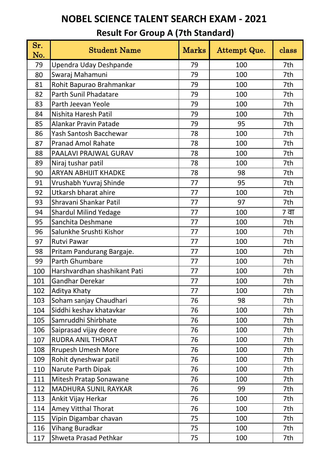| Sr.<br>No. | <b>Student Name</b>          | <b>Marks</b> | Attempt Que. | class |
|------------|------------------------------|--------------|--------------|-------|
| 79         | Upendra Uday Deshpande       | 79           | 100          | 7th   |
| 80         | Swaraj Mahamuni              | 79           | 100          | 7th   |
| 81         | Rohit Bapurao Brahmankar     | 79           | 100          | 7th   |
| 82         | <b>Parth Sunil Phadatare</b> | 79           | 100          | 7th   |
| 83         | Parth Jeevan Yeole           | 79           | 100          | 7th   |
| 84         | Nishita Haresh Patil         | 79           | 100          | 7th   |
| 85         | <b>Alankar Pravin Patade</b> | 79           | 95           | 7th   |
| 86         | Yash Santosh Bacchewar       | 78           | 100          | 7th   |
| 87         | <b>Pranad Amol Rahate</b>    | 78           | 100          | 7th   |
| 88         | PAALAVI PRAJWAL GURAV        | 78           | 100          | 7th   |
| 89         | Niraj tushar patil           | 78           | 100          | 7th   |
| 90         | <b>ARYAN ABHIJIT KHADKE</b>  | 78           | 98           | 7th   |
| 91         | Vrushabh Yuvraj Shinde       | 77           | 95           | 7th   |
| 92         | Utkarsh bharat ahire         | 77           | 100          | 7th   |
| 93         | Shravani Shankar Patil       | 77           | 97           | 7th   |
| 94         | <b>Shardul Milind Yedage</b> | 77           | 100          | 7 वा  |
| 95         | Sanchita Deshmane            | 77           | 100          | 7th   |
| 96         | Salunkhe Srushti Kishor      | 77           | 100          | 7th   |
| 97         | <b>Rutvi Pawar</b>           | 77           | 100          | 7th   |
| 98         | Pritam Pandurang Bargaje.    | 77           | 100          | 7th   |
| 99         | Parth Ghumbare               | 77           | 100          | 7th   |
| 100        | Harshvardhan shashikant Pati | 77           | 100          | 7th   |
| 101        | Gandhar Derekar              | 77           | 100          | 7th   |
| 102        | Aditya Khaty                 | 77           | 100          | 7th   |
| 103        | Soham sanjay Chaudhari       | 76           | 98           | 7th   |
| 104        | Siddhi keshav khatavkar      | 76           | 100          | 7th   |
| 105        | Samruddhi Shirbhate          | 76           | 100          | 7th   |
| 106        | Saiprasad vijay deore        | 76           | 100          | 7th   |
| 107        | <b>RUDRA ANIL THORAT</b>     | 76           | 100          | 7th   |
| 108        | <b>Rrupesh Umesh More</b>    | 76           | 100          | 7th   |
| 109        | Rohit dyneshwar patil        | 76           | 100          | 7th   |
| 110        | Narute Parth Dipak           | 76           | 100          | 7th   |
| 111        | Mitesh Pratap Sonawane       | 76           | 100          | 7th   |
| 112        | <b>MADHURA SUNIL RAYKAR</b>  | 76           | 99           | 7th   |
| 113        | Ankit Vijay Herkar           | 76           | 100          | 7th   |
| 114        | <b>Amey Vitthal Thorat</b>   | 76           | 100          | 7th   |
| 115        | Vipin Digambar chavan        | 75           | 100          | 7th   |
| 116        | Vihang Buradkar              | 75           | 100          | 7th   |
| 117        | Shweta Prasad Pethkar        | 75           | 100          | 7th   |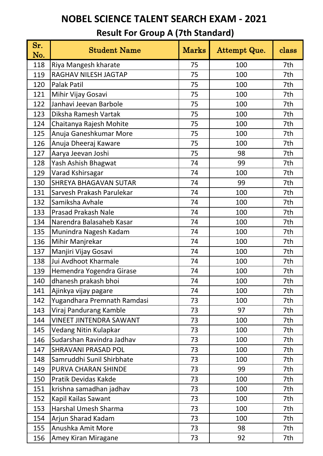| Sr.<br>No. | <b>Student Name</b>            | <b>Marks</b> | Attempt Que. | class |
|------------|--------------------------------|--------------|--------------|-------|
| 118        | Riya Mangesh kharate           | 75           | 100          | 7th   |
| 119        | RAGHAV NILESH JAGTAP           | 75           | 100          | 7th   |
| 120        | <b>Palak Patil</b>             | 75           | 100          | 7th   |
| 121        | Mihir Vijay Gosavi             | 75           | 100          | 7th   |
| 122        | Janhavi Jeevan Barbole         | 75           | 100          | 7th   |
| 123        | Diksha Ramesh Vartak           | 75           | 100          | 7th   |
| 124        | Chaitanya Rajesh Mohite        | 75           | 100          | 7th   |
| 125        | Anuja Ganeshkumar More         | 75           | 100          | 7th   |
| 126        | Anuja Dheeraj Kaware           | 75           | 100          | 7th   |
| 127        | Aarya Jeevan Joshi             | 75           | 98           | 7th   |
| 128        | Yash Ashish Bhagwat            | 74           | 99           | 7th   |
| 129        | Varad Kshirsagar               | 74           | 100          | 7th   |
| 130        | <b>SHREYA BHAGAVAN SUTAR</b>   | 74           | 99           | 7th   |
| 131        | Sarvesh Prakash Parulekar      | 74           | 100          | 7th   |
| 132        | Samiksha Avhale                | 74           | 100          | 7th   |
| 133        | <b>Prasad Prakash Nale</b>     | 74           | 100          | 7th   |
| 134        | Narendra Balasaheb Kasar       | 74           | 100          | 7th   |
| 135        | Munindra Nagesh Kadam          | 74           | 100          | 7th   |
| 136        | Mihir Manjrekar                | 74           | 100          | 7th   |
| 137        | Manjiri Vijay Gosavi           | 74           | 100          | 7th   |
| 138        | Jui Avdhoot Kharmale           | 74           | 100          | 7th   |
| 139        | Hemendra Yogendra Girase       | 74           | 100          | 7th   |
| 140        | dhanesh prakash bhoi           | 74           | 100          | 7th   |
| 141        | Ajinkya vijay pagare           | 74           | 100          | 7th   |
| 142        | Yugandhara Premnath Ramdasi    | 73           | 100          | 7th   |
| 143        | Viraj Pandurang Kamble         | 73           | 97           | 7th   |
| 144        | <b>VINEET JINTENDRA SAWANT</b> | 73           | 100          | 7th   |
| 145        | Vedang Nitin Kulapkar          | 73           | 100          | 7th   |
| 146        | Sudarshan Ravindra Jadhav      | 73           | 100          | 7th   |
| 147        | <b>SHRAVANI PRASAD POL</b>     | 73           | 100          | 7th   |
| 148        | Samruddhi Sunil Shirbhate      | 73           | 100          | 7th   |
| 149        | PURVA CHARAN SHINDE            | 73           | 99           | 7th   |
| 150        | Pratik Devidas Kakde           | 73           | 100          | 7th   |
| 151        | krishna samadhan jadhav        | 73           | 100          | 7th   |
| 152        | Kapil Kailas Sawant            | 73           | 100          | 7th   |
| 153        | Harshal Umesh Sharma           | 73           | 100          | 7th   |
| 154        | Arjun Sharad Kadam             | 73           | 100          | 7th   |
| 155        | Anushka Amit More              | 73           | 98           | 7th   |
| 156        | Amey Kiran Miragane            | 73           | 92           | 7th   |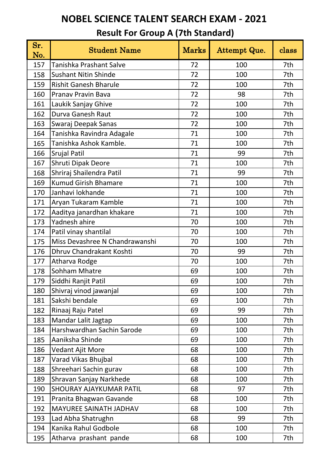| Sr.<br>No. | <b>Student Name</b>            | <b>Marks</b> | Attempt Que. | class |
|------------|--------------------------------|--------------|--------------|-------|
| 157        | Tanishka Prashant Salve        | 72           | 100          | 7th   |
| 158        | <b>Sushant Nitin Shinde</b>    | 72           | 100          | 7th   |
| 159        | <b>Rishit Ganesh Bharule</b>   | 72           | 100          | 7th   |
| 160        | Pranav Pravin Bava             | 72           | 98           | 7th   |
| 161        | Laukik Sanjay Ghive            | 72           | 100          | 7th   |
| 162        | Durva Ganesh Raut              | 72           | 100          | 7th   |
| 163        | Swaraj Deepak Sanas            | 72           | 100          | 7th   |
| 164        | Tanishka Ravindra Adagale      | 71           | 100          | 7th   |
| 165        | Tanishka Ashok Kamble.         | 71           | 100          | 7th   |
| 166        | <b>Srujal Patil</b>            | 71           | 99           | 7th   |
| 167        | Shruti Dipak Deore             | 71           | 100          | 7th   |
| 168        | Shriraj Shailendra Patil       | 71           | 99           | 7th   |
| 169        | <b>Kumud Girish Bhamare</b>    | 71           | 100          | 7th   |
| 170        | Janhavi lokhande               | 71           | 100          | 7th   |
| 171        | Aryan Tukaram Kamble           | 71           | 100          | 7th   |
| 172        | Aaditya janardhan khakare      | 71           | 100          | 7th   |
| 173        | Yadnesh ahire                  | 70           | 100          | 7th   |
| 174        | Patil vinay shantilal          | 70           | 100          | 7th   |
| 175        | Miss Devashree N Chandrawanshi | 70           | 100          | 7th   |
| 176        | Dhruv Chandrakant Koshti       | 70           | 99           | 7th   |
| 177        | Atharva Rodge                  | 70           | 100          | 7th   |
| 178        | Sohham Mhatre                  | 69           | 100          | 7th   |
| 179        | Siddhi Ranjit Patil            | 69           | 100          | 7th   |
| 180        | Shivraj vinod jawanjal         | 69           | 100          | 7th   |
| 181        | Sakshi bendale                 | 69           | 100          | 7th   |
| 182        | Rinaaj Raju Patel              | 69           | 99           | 7th   |
| 183        | Mandar Lalit Jagtap            | 69           | 100          | 7th   |
| 184        | Harshwardhan Sachin Sarode     | 69           | 100          | 7th   |
| 185        | Aaniksha Shinde                | 69           | 100          | 7th   |
| 186        | Vedant Ajit More               | 68           | 100          | 7th   |
| 187        | Varad Vikas Bhujbal            | 68           | 100          | 7th   |
| 188        | Shreehari Sachin gurav         | 68           | 100          | 7th   |
| 189        | Shravan Sanjay Narkhede        | 68           | 100          | 7th   |
| 190        | <b>SHOURAY AJAYKUMAR PATIL</b> | 68           | 97           | 7th   |
| 191        | Pranita Bhagwan Gavande        | 68           | 100          | 7th   |
| 192        | <b>MAYUREE SAINATH JADHAV</b>  | 68           | 100          | 7th   |
| 193        | Lad Abha Shatrughn             | 68           | 99           | 7th   |
| 194        | Kanika Rahul Godbole           | 68           | 100          | 7th   |
| 195        | Atharva prashant pande         | 68           | 100          | 7th   |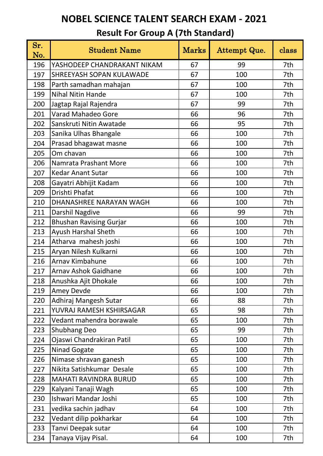| Sr.<br>No. | <b>Student Name</b>             | <b>Marks</b> | Attempt Que. | class |
|------------|---------------------------------|--------------|--------------|-------|
| 196        | YASHODEEP CHANDRAKANT NIKAM     | 67           | 99           | 7th   |
| 197        | <b>SHREEYASH SOPAN KULAWADE</b> | 67           | 100          | 7th   |
| 198        | Parth samadhan mahajan          | 67           | 100          | 7th   |
| 199        | <b>Nihal Nitin Hande</b>        | 67           | 100          | 7th   |
| 200        | Jagtap Rajal Rajendra           | 67           | 99           | 7th   |
| 201        | <b>Varad Mahadeo Gore</b>       | 66           | 96           | 7th   |
| 202        | Sanskruti Nitin Awatade         | 66           | 95           | 7th   |
| 203        | Sanika Ulhas Bhangale           | 66           | 100          | 7th   |
| 204        | Prasad bhagawat masne           | 66           | 100          | 7th   |
| 205        | Om chavan                       | 66           | 100          | 7th   |
| 206        | Namrata Prashant More           | 66           | 100          | 7th   |
| 207        | <b>Kedar Anant Sutar</b>        | 66           | 100          | 7th   |
| 208        | Gayatri Abhijit Kadam           | 66           | 100          | 7th   |
| 209        | Drishti Phafat                  | 66           | 100          | 7th   |
| 210        | DHANASHREE NARAYAN WAGH         | 66           | 100          | 7th   |
| 211        | Darshil Nagdive                 | 66           | 99           | 7th   |
| 212        | <b>Bhushan Ravising Gurjar</b>  | 66           | 100          | 7th   |
| 213        | Ayush Harshal Sheth             | 66           | 100          | 7th   |
| 214        | Atharva mahesh joshi            | 66           | 100          | 7th   |
| 215        | Aryan Nilesh Kulkarni           | 66           | 100          | 7th   |
| 216        | Arnav Kimbahune                 | 66           | 100          | 7th   |
| 217        | <b>Arnav Ashok Gaidhane</b>     | 66           | 100          | 7th   |
| 218        | Anushka Ajit Dhokale            | 66           | 100          | 7th   |
| 219        | <b>Amey Devde</b>               | 66           | 100          | 7th   |
| 220        | Adhiraj Mangesh Sutar           | 66           | 88           | 7th   |
| 221        | YUVRAJ RAMESH KSHIRSAGAR        | 65           | 98           | 7th   |
| 222        | Vedant mahendra borawale        | 65           | 100          | 7th   |
| 223        | <b>Shubhang Deo</b>             | 65           | 99           | 7th   |
| 224        | Ojaswi Chandrakiran Patil       | 65           | 100          | 7th   |
| 225        | Ninad Gogate                    | 65           | 100          | 7th   |
| 226        | Nimase shravan ganesh           | 65           | 100          | 7th   |
| 227        | Nikita Satishkumar Desale       | 65           | 100          | 7th   |
| 228        | <b>MAHATI RAVINDRA BURUD</b>    | 65           | 100          | 7th   |
| 229        | Kalyani Tanaji Wagh             | 65           | 100          | 7th   |
| 230        | Ishwari Mandar Joshi            | 65           | 100          | 7th   |
| 231        | vedika sachin jadhav            | 64           | 100          | 7th   |
| 232        | Vedant dilip pokharkar          | 64           | 100          | 7th   |
| 233        | Tanvi Deepak sutar              | 64           | 100          | 7th   |
| 234        | Tanaya Vijay Pisal.             | 64           | 100          | 7th   |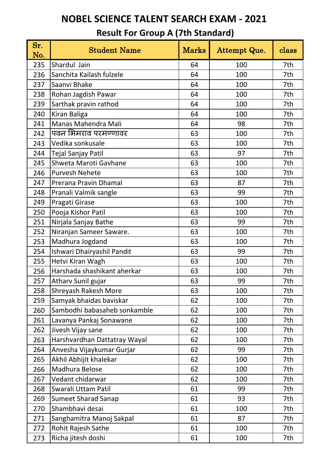| Sr.<br>No. | <b>Student Name</b>          | <b>Marks</b> | Attempt Que. | class |
|------------|------------------------------|--------------|--------------|-------|
| 235        | Shardul Jain                 | 64           | 100          | 7th   |
| 236        | Sanchita Kailash fulzele     | 64           | 100          | 7th   |
| 237        | Saanvi Bhake                 | 64           | 100          | 7th   |
| 238        | Rohan Jagdish Pawar          | 64           | 100          | 7th   |
| 239        | Sarthak pravin rathod        | 64           | 100          | 7th   |
| 240        | Kiran Baliga                 | 64           | 100          | 7th   |
| 241        | Manas Mahendra Mali          | 64           | 98           | 7th   |
| 242        | पवन भिमराव परमण्णावर         | 63           | 100          | 7th   |
| 243        | Vedika sonkusale             | 63           | 100          | 7th   |
| 244        | Tejal Sanjay Patil           | 63           | 97           | 7th   |
| 245        | Shweta Maroti Gavhane        | 63           | 100          | 7th   |
| 246        | <b>Purvesh Nehete</b>        | 63           | 100          | 7th   |
| 247        | Prerana Pravin Dhamal        | 63           | 87           | 7th   |
| 248        | Pranali Valmik sangle        | 63           | 99           | 7th   |
| 249        | Pragati Girase               | 63           | 100          | 7th   |
| 250        | Pooja Kishor Patil           | 63           | 100          | 7th   |
| 251        | Nirjala Sanjay Bathe         | 63           | 99           | 7th   |
| 252        | Niranjan Sameer Saware.      | 63           | 100          | 7th   |
| 253        | Madhura Jogdand              | 63           | 100          | 7th   |
| 254        | Ishwari Dhairyashil Pandit   | 63           | 99           | 7th   |
| 255        | Hetvi Kiran Wagh             | 63           | 100          | 7th   |
| 256        | Harshada shashikant aherkar  | 63           | 100          | 7th   |
| 257        | Atharv Sunil gujar           | 63           | 99           | 7th   |
| 258        | Shreyash Rakesh More         | 63           | 100          | 7th   |
| 259        | Samyak bhaidas baviskar      | 62           | 100          | 7th   |
| 260        | Sambodhi babasaheb sonkamble | 62           | 100          | 7th   |
| 261        | Lavanya Pankaj Sonawane      | 62           | 100          | 7th   |
| 262        | Jivesh Vijay sane            | 62           | 100          | 7th   |
| 263        | Harshvardhan Dattatray Wayal | 62           | 100          | 7th   |
| 264        | Anvesha Vijaykumar Gurjar    | 62           | 99           | 7th   |
| 265        | Akhil Abhijit khalekar       | 62           | 100          | 7th   |
| 266        | Madhura Belose               | 62           | 100          | 7th   |
| 267        | Vedant chidarwar             | 62           | 100          | 7th   |
| 268        | Swarali Uttam Patil          | 61           | 99           | 7th   |
| 269        | <b>Sumeet Sharad Sanap</b>   | 61           | 93           | 7th   |
| 270        | Shambhavi desai              | 61           | 100          | 7th   |
| 271        | Sanghamitra Manoj Sakpal     | 61           | 87           | 7th   |
| 272        | Rohit Rajesh Sathe           | 61           | 100          | 7th   |
| 273        | Richa jitesh doshi           | 61           | 100          | 7th   |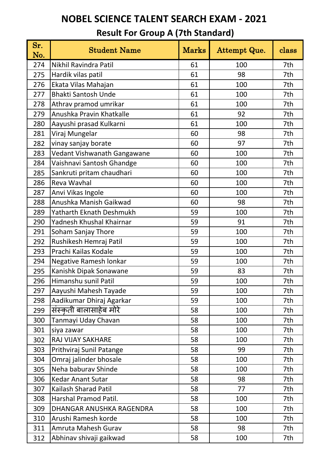| Sr.<br>No. | <b>Student Name</b>         | <b>Marks</b> | Attempt Que. | class |
|------------|-----------------------------|--------------|--------------|-------|
| 274        | Nikhil Ravindra Patil       | 61           | 100          | 7th   |
| 275        | Hardik vilas patil          | 61           | 98           | 7th   |
| 276        | Ekata Vilas Mahajan         | 61           | 100          | 7th   |
| 277        | <b>Bhakti Santosh Unde</b>  | 61           | 100          | 7th   |
| 278        | Athrav pramod umrikar       | 61           | 100          | 7th   |
| 279        | Anushka Pravin Khatkalle    | 61           | 92           | 7th   |
| 280        | Aayushi prasad Kulkarni     | 61           | 100          | 7th   |
| 281        | Viraj Mungelar              | 60           | 98           | 7th   |
| 282        | vinay sanjay borate         | 60           | 97           | 7th   |
| 283        | Vedant Vishwanath Gangawane | 60           | 100          | 7th   |
| 284        | Vaishnavi Santosh Ghandge   | 60           | 100          | 7th   |
| 285        | Sankruti pritam chaudhari   | 60           | 100          | 7th   |
| 286        | Reva Wavhal                 | 60           | 100          | 7th   |
| 287        | Anvi Vikas Ingole           | 60           | 100          | 7th   |
| 288        | Anushka Manish Gaikwad      | 60           | 98           | 7th   |
| 289        | Yatharth Eknath Deshmukh    | 59           | 100          | 7th   |
| 290        | Yadnesh Khushal Khairnar    | 59           | 91           | 7th   |
| 291        | Soham Sanjay Thore          | 59           | 100          | 7th   |
| 292        | Rushikesh Hemraj Patil      | 59           | 100          | 7th   |
| 293        | Prachi Kailas Kodale        | 59           | 100          | 7th   |
| 294        | Negative Ramesh lonkar      | 59           | 100          | 7th   |
| 295        | Kanishk Dipak Sonawane      | 59           | 83           | 7th   |
| 296        | Himanshu sunil Patil        | 59           | 100          | 7th   |
| 297        | Aayushi Mahesh Tayade       | 59           | 100          | 7th   |
| 298        | Aadikumar Dhiraj Agarkar    | 59           | 100          | 7th   |
| 299        | संस्कृती बालासाहेब मोरे     | 58           | 100          | 7th   |
| 300        | Tanmayi Uday Chavan         | 58           | 100          | 7th   |
| 301        | siya zawar                  | 58           | 100          | 7th   |
| 302        | RAJ VIJAY SAKHARE           | 58           | 100          | 7th   |
| 303        | Prithviraj Sunil Patange    | 58           | 99           | 7th   |
| 304        | Omraj jalinder bhosale      | 58           | 100          | 7th   |
| 305        | Neha baburav Shinde         | 58           | 100          | 7th   |
| 306        | <b>Kedar Anant Sutar</b>    | 58           | 98           | 7th   |
| 307        | Kailash Sharad Patil        | 58           | 77           | 7th   |
| 308        | Harshal Pramod Patil.       | 58           | 100          | 7th   |
| 309        | DHANGAR ANUSHKA RAGENDRA    | 58           | 100          | 7th   |
| 310        | Arushi Ramesh korde         | 58           | 100          | 7th   |
| 311        | Amruta Mahesh Gurav         | 58           | 98           | 7th   |
| 312        | Abhinav shivaji gaikwad     | 58           | 100          | 7th   |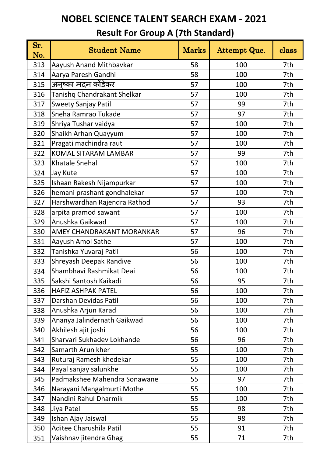| Sr.<br>No. | <b>Student Name</b>          | <b>Marks</b> | Attempt Que. | class |
|------------|------------------------------|--------------|--------------|-------|
| 313        | Aayush Anand Mithbavkar      | 58           | 100          | 7th   |
| 314        | Aarya Paresh Gandhi          | 58           | 100          | 7th   |
| 315        | अनुष्का मदन कोंडेकर          | 57           | 100          | 7th   |
| 316        | Tanishq Chandrakant Shelkar  | 57           | 100          | 7th   |
| 317        | <b>Sweety Sanjay Patil</b>   | 57           | 99           | 7th   |
| 318        | Sneha Ramrao Tukade          | 57           | 97           | 7th   |
| 319        | Shriya Tushar vaidya         | 57           | 100          | 7th   |
| 320        | Shaikh Arhan Quayyum         | 57           | 100          | 7th   |
| 321        | Pragati machindra raut       | 57           | 100          | 7th   |
| 322        | <b>KOMAL SITARAM LAMBAR</b>  | 57           | 99           | 7th   |
| 323        | <b>Khatale Snehal</b>        | 57           | 100          | 7th   |
| 324        | Jay Kute                     | 57           | 100          | 7th   |
| 325        | Ishaan Rakesh Nijampurkar    | 57           | 100          | 7th   |
| 326        | hemani prashant gondhalekar  | 57           | 100          | 7th   |
| 327        | Harshwardhan Rajendra Rathod | 57           | 93           | 7th   |
| 328        | arpita pramod sawant         | 57           | 100          | 7th   |
| 329        | Anushka Gaikwad              | 57           | 100          | 7th   |
| 330        | AMEY CHANDRAKANT MORANKAR    | 57           | 96           | 7th   |
| 331        | Aayush Amol Sathe            | 57           | 100          | 7th   |
| 332        | Tanishka Yuvaraj Patil       | 56           | 100          | 7th   |
| 333        | Shreyash Deepak Randive      | 56           | 100          | 7th   |
| 334        | Shambhavi Rashmikat Deai     | 56           | 100          | 7th   |
| 335        | Sakshi Santosh Kaikadi       | 56           | 95           | 7th   |
| 336        | <b>HAFIZ ASHPAK PATEL</b>    | 56           | 100          | 7th   |
| 337        | Darshan Devidas Patil        | 56           | 100          | 7th   |
| 338        | Anushka Arjun Karad          | 56           | 100          | 7th   |
| 339        | Ananya Jalindernath Gaikwad  | 56           | 100          | 7th   |
| 340        | Akhilesh ajit joshi          | 56           | 100          | 7th   |
| 341        | Sharvari Sukhadev Lokhande   | 56           | 96           | 7th   |
| 342        | Samarth Arun kher            | 55           | 100          | 7th   |
| 343        | Ruturaj Ramesh khedekar      | 55           | 100          | 7th   |
| 344        | Payal sanjay salunkhe        | 55           | 100          | 7th   |
| 345        | Padmakshee Mahendra Sonawane | 55           | 97           | 7th   |
| 346        | Narayani Mangalmurti Mothe   | 55           | 100          | 7th   |
| 347        | Nandini Rahul Dharmik        | 55           | 100          | 7th   |
| 348        | Jiya Patel                   | 55           | 98           | 7th   |
| 349        | Ishan Ajay Jaiswal           | 55           | 98           | 7th   |
| 350        | Aditee Charushila Patil      | 55           | 91           | 7th   |
| 351        | Vaishnav jitendra Ghag       | 55           | 71           | 7th   |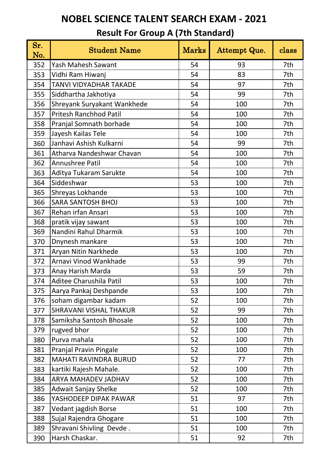| Sr.<br>No. | <b>Student Name</b>           | <b>Marks</b> | <b>Attempt Que.</b> | class |
|------------|-------------------------------|--------------|---------------------|-------|
| 352        | Yash Mahesh Sawant            | 54           | 93                  | 7th   |
| 353        | Vidhi Ram Hiwanj              | 54           | 83                  | 7th   |
| 354        | <b>TANVI VIDYADHAR TAKADE</b> | 54           | 97                  | 7th   |
| 355        | Siddhartha Jakhotiya          | 54           | 99                  | 7th   |
| 356        | Shreyank Suryakant Wankhede   | 54           | 100                 | 7th   |
| 357        | Pritesh Ranchhod Patil        | 54           | 100                 | 7th   |
| 358        | Pranjal Somnath borhade       | 54           | 100                 | 7th   |
| 359        | Jayesh Kailas Tele            | 54           | 100                 | 7th   |
| 360        | Janhavi Ashish Kulkarni       | 54           | 99                  | 7th   |
| 361        | Atharva Nandeshwar Chavan     | 54           | 100                 | 7th   |
| 362        | Annushree Patil               | 54           | 100                 | 7th   |
| 363        | Aditya Tukaram Sarukte        | 54           | 100                 | 7th   |
| 364        | Siddeshwar                    | 53           | 100                 | 7th   |
| 365        | Shreyas Lokhande              | 53           | 100                 | 7th   |
| 366        | <b>SARA SANTOSH BHOJ</b>      | 53           | 100                 | 7th   |
| 367        | Rehan irfan Ansari            | 53           | 100                 | 7th   |
| 368        | pratik vijay sawant           | 53           | 100                 | 7th   |
| 369        | Nandini Rahul Dharmik         | 53           | 100                 | 7th   |
| 370        | Dnynesh mankare               | 53           | 100                 | 7th   |
| 371        | Aryan Nitin Narkhede          | 53           | 100                 | 7th   |
| 372        | Arnavi Vinod Wankhade         | 53           | 99                  | 7th   |
| 373        | Anay Harish Marda             | 53           | 59                  | 7th   |
| 374        | Aditee Charushila Patil       | 53           | 100                 | 7th   |
| 375        | Aarya Pankaj Deshpande        | 53           | 100                 | 7th   |
| 376        | soham digambar kadam          | 52           | 100                 | 7th   |
| 377        | <b>SHRAVANI VISHAL THAKUR</b> | 52           | 99                  | 7th   |
| 378        | Samiksha Santosh Bhosale      | 52           | 100                 | 7th   |
| 379        | rugved bhor                   | 52           | 100                 | 7th   |
| 380        | Purva mahala                  | 52           | 100                 | 7th   |
| 381        | Pranjal Pravin Pingale        | 52           | 100                 | 7th   |
| 382        | MAHATI RAVINDRA BURUD         | 52           | 77                  | 7th   |
| 383        | kartiki Rajesh Mahale.        | 52           | 100                 | 7th   |
| 384        | ARYA MAHADEV JADHAV           | 52           | 100                 | 7th   |
| 385        | <b>Adwait Sanjay Shelke</b>   | 52           | 100                 | 7th   |
| 386        | YASHODEEP DIPAK PAWAR         | 51           | 97                  | 7th   |
| 387        | Vedant jagdish Borse          | 51           | 100                 | 7th   |
| 388        | Sujal Rajendra Ghogare        | 51           | 100                 | 7th   |
| 389        | Shravani Shivling Devde.      | 51           | 100                 | 7th   |
| 390        | Harsh Chaskar.                | 51           | 92                  | 7th   |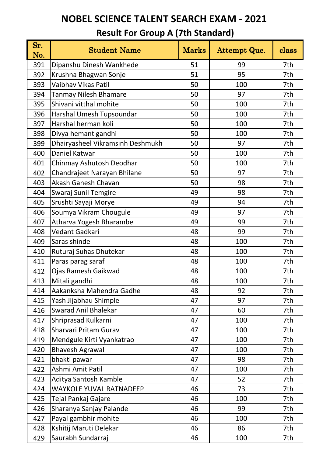| Sr.<br>No. | <b>Student Name</b>              | <b>Marks</b> | Attempt Que. | class |
|------------|----------------------------------|--------------|--------------|-------|
| 391        | Dipanshu Dinesh Wankhede         | 51           | 99           | 7th   |
| 392        | Krushna Bhagwan Sonje            | 51           | 95           | 7th   |
| 393        | Vaibhav Vikas Patil              | 50           | 100          | 7th   |
| 394        | <b>Tanmay Nilesh Bhamare</b>     | 50           | 97           | 7th   |
| 395        | Shivani vitthal mohite           | 50           | 100          | 7th   |
| 396        | Harshal Umesh Tupsoundar         | 50           | 100          | 7th   |
| 397        | Harshal herman koli              | 50           | 100          | 7th   |
| 398        | Divya hemant gandhi              | 50           | 100          | 7th   |
| 399        | Dhairyasheel Vikramsinh Deshmukh | 50           | 97           | 7th   |
| 400        | Daniel Katwar                    | 50           | 100          | 7th   |
| 401        | Chinmay Ashutosh Deodhar         | 50           | 100          | 7th   |
| 402        | Chandrajeet Narayan Bhilane      | 50           | 97           | 7th   |
| 403        | Akash Ganesh Chavan              | 50           | 98           | 7th   |
| 404        | Swaraj Sunil Temgire             | 49           | 98           | 7th   |
| 405        | Srushti Sayaji Morye             | 49           | 94           | 7th   |
| 406        | Soumya Vikram Chougule           | 49           | 97           | 7th   |
| 407        | Atharva Yogesh Bharambe          | 49           | 99           | 7th   |
| 408        | Vedant Gadkari                   | 48           | 99           | 7th   |
| 409        | Saras shinde                     | 48           | 100          | 7th   |
| 410        | Ruturaj Suhas Dhutekar           | 48           | 100          | 7th   |
| 411        | Paras parag saraf                | 48           | 100          | 7th   |
| 412        | Ojas Ramesh Gaikwad              | 48           | 100          | 7th   |
| 413        | Mitali gandhi                    | 48           | 100          | 7th   |
| 414        | Aakanksha Mahendra Gadhe         | 48           | 92           | 7th   |
| 415        | Yash Jijabhau Shimple            | 47           | 97           | 7th   |
| 416        | <b>Swarad Anil Bhalekar</b>      | 47           | 60           | 7th   |
| 417        | Shriprasad Kulkarni              | 47           | 100          | 7th   |
| 418        | Sharvari Pritam Gurav            | 47           | 100          | 7th   |
| 419        | Mendgule Kirti Vyankatrao        | 47           | 100          | 7th   |
| 420        | <b>Bhavesh Agrawal</b>           | 47           | 100          | 7th   |
| 421        | bhakti pawar                     | 47           | 98           | 7th   |
| 422        | Ashmi Amit Patil                 | 47           | 100          | 7th   |
| 423        | Aditya Santosh Kamble            | 47           | 52           | 7th   |
| 424        | <b>WAYKOLE YUVAL RATNADEEP</b>   | 46           | 73           | 7th   |
| 425        | Tejal Pankaj Gajare              | 46           | 100          | 7th   |
| 426        | Sharanya Sanjay Palande          | 46           | 99           | 7th   |
| 427        | Payal gambhir mohite             | 46           | 100          | 7th   |
| 428        | Kshitij Maruti Delekar           | 46           | 86           | 7th   |
| 429        | Saurabh Sundarraj                | 46           | 100          | 7th   |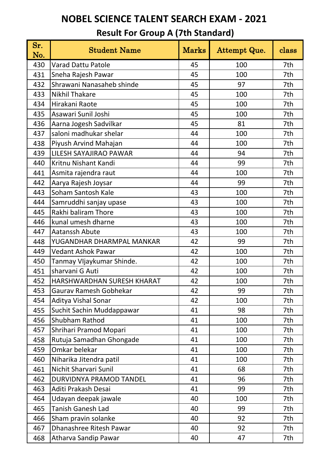| Sr.<br>No. | <b>Student Name</b>        | <b>Marks</b> | Attempt Que. | class |
|------------|----------------------------|--------------|--------------|-------|
| 430        | <b>Varad Dattu Patole</b>  | 45           | 100          | 7th   |
| 431        | Sneha Rajesh Pawar         | 45           | 100          | 7th   |
| 432        | Shrawani Nanasaheb shinde  | 45           | 97           | 7th   |
| 433        | <b>Nikhil Thakare</b>      | 45           | 100          | 7th   |
| 434        | Hirakani Raote             | 45           | 100          | 7th   |
| 435        | Asawari Sunil Joshi        | 45           | 100          | 7th   |
| 436        | Aarna Jogesh Sadvilkar     | 45           | 81           | 7th   |
| 437        | saloni madhukar shelar     | 44           | 100          | 7th   |
| 438        | Piyush Arvind Mahajan      | 44           | 100          | 7th   |
| 439        | LILESH SAYAJIRAO PAWAR     | 44           | 94           | 7th   |
| 440        | Kritnu Nishant Kandi       | 44           | 99           | 7th   |
| 441        | Asmita rajendra raut       | 44           | 100          | 7th   |
| 442        | Aarya Rajesh Joysar        | 44           | 99           | 7th   |
| 443        | Soham Santosh Kale         | 43           | 100          | 7th   |
| 444        | Samruddhi sanjay upase     | 43           | 100          | 7th   |
| 445        | Rakhi baliram Thore        | 43           | 100          | 7th   |
| 446        | kunal umesh dharne         | 43           | 100          | 7th   |
| 447        | Aatanssh Abute             | 43           | 100          | 7th   |
| 448        | YUGANDHAR DHARMPAL MANKAR  | 42           | 99           | 7th   |
| 449        | <b>Vedant Ashok Pawar</b>  | 42           | 100          | 7th   |
| 450        | Tanmay VIjaykumar Shinde.  | 42           | 100          | 7th   |
| 451        | sharvani G Auti            | 42           | 100          | 7th   |
| 452        | HARSHWARDHAN SURESH KHARAT | 42           | 100          | 7th   |
| 453        | Gaurav Ramesh Gobhekar     | 42           | 99           | 7th   |
| 454        | Aditya Vishal Sonar        | 42           | 100          | 7th   |
| 455        | Suchit Sachin Muddappawar  | 41           | 98           | 7th   |
| 456        | Shubham Rathod             | 41           | 100          | 7th   |
| 457        | Shrihari Pramod Mopari     | 41           | 100          | 7th   |
| 458        | Rutuja Samadhan Ghongade   | 41           | 100          | 7th   |
| 459        | Omkar belekar              | 41           | 100          | 7th   |
| 460        | Niharika Jitendra patil    | 41           | 100          | 7th   |
| 461        | Nichit Sharvari Sunil      | 41           | 68           | 7th   |
| 462        | DURVIDNYA PRAMOD TANDEL    | 41           | 96           | 7th   |
| 463        | Aditi Prakash Desai        | 41           | 99           | 7th   |
| 464        | Udayan deepak jawale       | 40           | 100          | 7th   |
| 465        | <b>Tanish Ganesh Lad</b>   | 40           | 99           | 7th   |
| 466        | Sham pravin solanke        | 40           | 92           | 7th   |
| 467        | Dhanashree Ritesh Pawar    | 40           | 92           | 7th   |
| 468        | Atharva Sandip Pawar       | 40           | 47           | 7th   |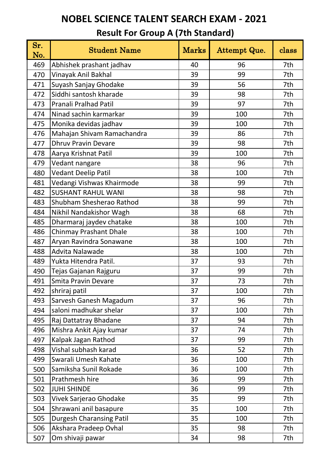| Sr.<br>No. | <b>Student Name</b>             | <b>Marks</b> | Attempt Que. | class |
|------------|---------------------------------|--------------|--------------|-------|
| 469        | Abhishek prashant jadhav        | 40           | 96           | 7th   |
| 470        | Vinayak Anil Bakhal             | 39           | 99           | 7th   |
| 471        | Suyash Sanjay Ghodake           | 39           | 56           | 7th   |
| 472        | Siddhi santosh kharade          | 39           | 98           | 7th   |
| 473        | Pranali Pralhad Patil           | 39           | 97           | 7th   |
| 474        | Ninad sachin karmarkar          | 39           | 100          | 7th   |
| 475        | Monika devidas jadhav           | 39           | 100          | 7th   |
| 476        | Mahajan Shivam Ramachandra      | 39           | 86           | 7th   |
| 477        | <b>Dhruv Pravin Devare</b>      | 39           | 98           | 7th   |
| 478        | Aarya Krishnat Patil            | 39           | 100          | 7th   |
| 479        | Vedant nangare                  | 38           | 96           | 7th   |
| 480        | <b>Vedant Deelip Patil</b>      | 38           | 100          | 7th   |
| 481        | Vedangi Vishwas Khairmode       | 38           | 99           | 7th   |
| 482        | <b>SUSHANT RAHUL WANI</b>       | 38           | 98           | 7th   |
| 483        | Shubham Shesherao Rathod        | 38           | 99           | 7th   |
| 484        | Nikhil Nandakishor Wagh         | 38           | 68           | 7th   |
| 485        | Dharmaraj jaydev chatake        | 38           | 100          | 7th   |
| 486        | <b>Chinmay Prashant Dhale</b>   | 38           | 100          | 7th   |
| 487        | Aryan Ravindra Sonawane         | 38           | 100          | 7th   |
| 488        | Advita Nalawade                 | 38           | 100          | 7th   |
| 489        | Yukta Hitendra Patil.           | 37           | 93           | 7th   |
| 490        | Tejas Gajanan Rajguru           | 37           | 99           | 7th   |
| 491        | <b>Smita Pravin Devare</b>      | 37           | 73           | 7th   |
| 492        | shriraj patil                   | 37           | 100          | 7th   |
| 493        | Sarvesh Ganesh Magadum          | 37           | 96           | 7th   |
| 494        | saloni madhukar shelar          | 37           | 100          | 7th   |
| 495        | Raj Dattatray Bhadane           | 37           | 94           | 7th   |
| 496        | Mishra Ankit Ajay kumar         | 37           | 74           | 7th   |
| 497        | Kalpak Jagan Rathod             | 37           | 99           | 7th   |
| 498        | Vishal subhash karad            | 36           | 52           | 7th   |
| 499        | Swarali Umesh Kahate            | 36           | 100          | 7th   |
| 500        | Samiksha Sunil Rokade           | 36           | 100          | 7th   |
| 501        | Prathmesh hire                  | 36           | 99           | 7th   |
| 502        | <b>JUHI SHINDE</b>              | 36           | 99           | 7th   |
| 503        | Vivek Sarjerao Ghodake          | 35           | 99           | 7th   |
| 504        | Shrawani anil basapure          | 35           | 100          | 7th   |
| 505        | <b>Durgesh Charansing Patil</b> | 35           | 100          | 7th   |
| 506        | Akshara Pradeep Ovhal           | 35           | 98           | 7th   |
| 507        | Om shivaji pawar                | 34           | 98           | 7th   |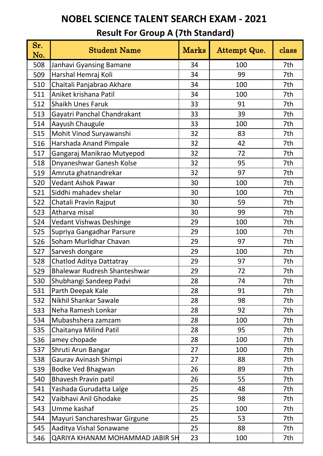| Sr.<br>No. | <b>Student Name</b>                 | <b>Marks</b> | Attempt Que. | class |
|------------|-------------------------------------|--------------|--------------|-------|
| 508        | Janhavi Gyansing Bamane             | 34           | 100          | 7th   |
| 509        | Harshal Hemraj Koli                 | 34           | 99           | 7th   |
| 510        | Chaitali Panjabrao Akhare           | 34           | 100          | 7th   |
| 511        | Aniket krishana Patil               | 34           | 100          | 7th   |
| 512        | <b>Shaikh Unes Faruk</b>            | 33           | 91           | 7th   |
| 513        | Gayatri Panchal Chandrakant         | 33           | 39           | 7th   |
| 514        | Aayush Chaugule                     | 33           | 100          | 7th   |
| 515        | Mohit Vinod Suryawanshi             | 32           | 83           | 7th   |
| 516        | Harshada Anand Pimpale              | 32           | 42           | 7th   |
| 517        | Gangaraj Manikrao Mutyepod          | 32           | 72           | 7th   |
| 518        | Dnyaneshwar Ganesh Kolse            | 32           | 95           | 7th   |
| 519        | Amruta ghatnandrekar                | 32           | 97           | 7th   |
| 520        | <b>Vedant Ashok Pawar</b>           | 30           | 100          | 7th   |
| 521        | Siddhi mahadev shelar               | 30           | 100          | 7th   |
| 522        | Chatali Pravin Rajput               | 30           | 59           | 7th   |
| 523        | Atharva misal                       | 30           | 99           | 7th   |
| 524        | <b>Vedant Vishwas Deshinge</b>      | 29           | 100          | 7th   |
| 525        | Supriya Gangadhar Parsure           | 29           | 100          | 7th   |
| 526        | Soham Murlidhar Chavan              | 29           | 97           | 7th   |
| 527        | Sarvesh dongare                     | 29           | 100          | 7th   |
| 528        | Chatlod Aditya Dattatray            | 29           | 97           | 7th   |
| 529        | <b>Bhalewar Rudresh Shanteshwar</b> | 29           | 72           | 7th   |
| 530        | Shubhangi Sandeep Padvi             | 28           | 74           | 7th   |
| 531        | Parth Deepak Kale                   | 28           | 91           | 7th   |
| 532        | Nikhil Shankar Sawale               | 28           | 98           | 7th   |
| 533        | Neha Ramesh Lonkar                  | 28           | 92           | 7th   |
| 534        | Mubashshera zamzam                  | 28           | 100          | 7th   |
| 535        | Chaitanya Milind Patil              | 28           | 95           | 7th   |
| 536        | amey chopade                        | 28           | 100          | 7th   |
| 537        | Shruti Arun Bangar                  | 27           | 100          | 7th   |
| 538        | Gaurav Avinash Shimpi               | 27           | 88           | 7th   |
| 539        | Bodke Ved Bhagwan                   | 26           | 89           | 7th   |
| 540        | <b>Bhavesh Pravin patil</b>         | 26           | 55           | 7th   |
| 541        | Yashada Gurudatta Lalge             | 25           | 48           | 7th   |
| 542        | Vaibhavi Anil Ghodake               | 25           | 98           | 7th   |
| 543        | Umme kashaf                         | 25           | 100          | 7th   |
| 544        | Mayuri Sanchareshwar Girgune        | 25           | 53           | 7th   |
| 545        | Aaditya Vishal Sonawane             | 25           | 88           | 7th   |
| 546        | QARIYA KHANAM MOHAMMAD JABIR SH     | 23           | 100          | 7th   |